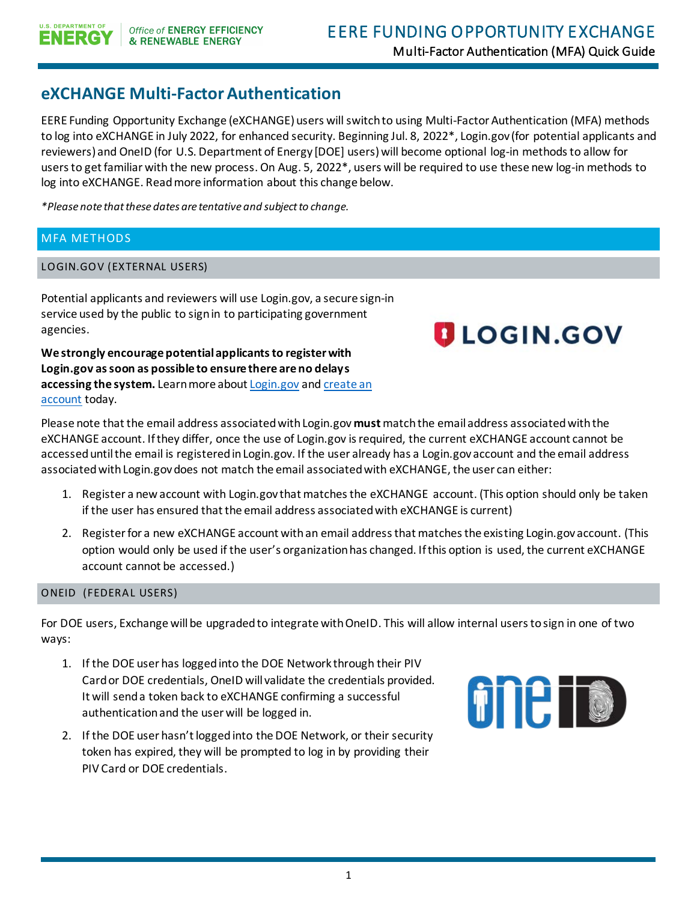# **eXCHANGE Multi-Factor Authentication**

EERE Funding Opportunity Exchange (eXCHANGE) users will switch to using Multi-Factor Authentication (MFA) methods to log into eXCHANGE in July 2022, for enhanced security. Beginning Jul. 8, 2022\*, Login.gov (for potential applicants and reviewers) and OneID (for U.S. Department of Energy [DOE] users) will become optional log-in methods to allow for users to get familiar with the new process. On Aug. 5, 2022\*, users will be required to use these new log-in methods to log into eXCHANGE. Read more information about this change below.

*\*Please note that these dates are tentative and subject to change.*

## MFA METHODS

### LOGIN.GOV (EXTERNAL USERS)

Potential applicants and reviewers will use Login.gov, a secure sign-in service used by the public to sign in to participating government agencies.

**We strongly encourage potential applicants to register with Login.gov as soon as possible to ensure there are no delays accessing the system.** Learn more abou[t Login.gov](httpss://login.gov/what-is-login/) an[d create an](httpss://login.gov/create-an-account/)  [account](httpss://login.gov/create-an-account/) today.

Please note that the email address associated with Login.gov **must**matchthe email address associated with the eXCHANGE account. If they differ, once the use of Login.gov is required, the current eXCHANGE account cannot be accessed until the email is registered in Login.gov. If the user already has a Login.gov account and the email address associated with Login.gov does not match the email associated with eXCHANGE, the user can either:

- 1. Register a new account with Login.gov that matches the eXCHANGE account. (This option should only be taken if the user has ensured that the email address associated with eXCHANGE is current)
- 2. Register for a new eXCHANGE account with an email address that matches the existing Login.gov account. (This option would only be used if the user's organization has changed. If this option is used, the current eXCHANGE account cannot be accessed.)

#### ONEID (FEDERAL USERS)

For DOE users, Exchange will be upgraded to integrate with OneID. This will allow internal users to sign in one of two ways:

- 1. If the DOE user has logged into the DOE Network through their PIV Card or DOE credentials, OneID will validate the credentials provided. It will send a token back to eXCHANGE confirming a successful authentication and the user will be logged in.
- 2. If the DOE user hasn't logged into the DOE Network, or their security token has expired, they will be prompted to log in by providing their PIV Card or DOE credentials.



**ULOGIN.GOV**